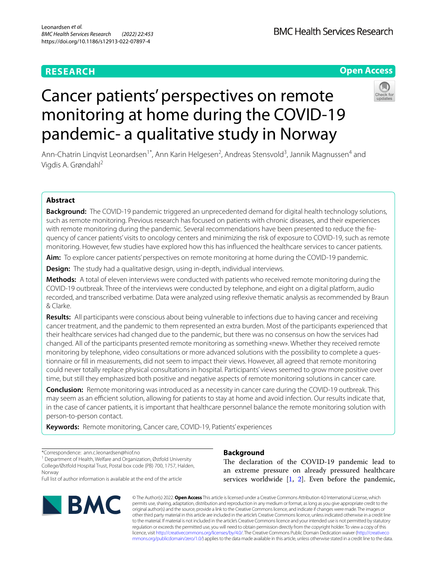# **RESEARCH**

**BMC Health Services Research** 

# **Open Access**



# Cancer patients' perspectives on remote monitoring at home during the COVID-19 pandemic- a qualitative study in Norway

Ann-Chatrin Linqvist Leonardsen<sup>1\*</sup>, Ann Karin Helgesen<sup>2</sup>, Andreas Stensvold<sup>3</sup>, Jannik Magnussen<sup>4</sup> and Vigdis A. Grøndahl2

# **Abstract**

**Background:** The COVID-19 pandemic triggered an unprecedented demand for digital health technology solutions, such as remote monitoring. Previous research has focused on patients with chronic diseases, and their experiences with remote monitoring during the pandemic. Several recommendations have been presented to reduce the frequency of cancer patients' visits to oncology centers and minimizing the risk of exposure to COVID-19, such as remote monitoring. However, few studies have explored how this has infuenced the healthcare services to cancer patients.

**Aim:** To explore cancer patients' perspectives on remote monitoring at home during the COVID-19 pandemic.

**Design:** The study had a qualitative design, using in-depth, individual interviews.

**Methods:** A total of eleven interviews were conducted with patients who received remote monitoring during the COVID-19 outbreak. Three of the interviews were conducted by telephone, and eight on a digital platform, audio recorded, and transcribed verbatime. Data were analyzed using refexive thematic analysis as recommended by Braun & Clarke.

**Results:** All participants were conscious about being vulnerable to infections due to having cancer and receiving cancer treatment, and the pandemic to them represented an extra burden. Most of the participants experienced that their healthcare services had changed due to the pandemic, but there was no consensus on how the services had changed. All of the participants presented remote monitoring as something «new». Whether they received remote monitoring by telephone, video consultations or more advanced solutions with the possibility to complete a questionnaire or fll in measurements, did not seem to impact their views. However, all agreed that remote monitoring could never totally replace physical consultations in hospital. Participants' views seemed to grow more positive over time, but still they emphasized both positive and negative aspects of remote monitoring solutions in cancer care.

**Conclusion:** Remote monitoring was introduced as a necessity in cancer care during the COVID-19 outbreak. This may seem as an efficient solution, allowing for patients to stay at home and avoid infection. Our results indicate that, in the case of cancer patients, it is important that healthcare personnel balance the remote monitoring solution with person-to-person contact.

**Keywords:** Remote monitoring, Cancer care, COVID-19, Patients' experiences

\*Correspondence: ann.c.leonardsen@hiof.no

<sup>1</sup> Department of Health, Welfare and Organization, Østfold University College/Østfold Hospital Trust, Postal box code (PB) 700, 1757, Halden, Norway

Full list of author information is available at the end of the article



## **Background**

The declaration of the COVID-19 pandemic lead to an extreme pressure on already pressured healthcare services worldwide  $[1, 2]$  $[1, 2]$  $[1, 2]$  $[1, 2]$ . Even before the pandemic,

© The Author(s) 2022. **Open Access** This article is licensed under a Creative Commons Attribution 4.0 International License, which permits use, sharing, adaptation, distribution and reproduction in any medium or format, as long as you give appropriate credit to the original author(s) and the source, provide a link to the Creative Commons licence, and indicate if changes were made. The images or other third party material in this article are included in the article's Creative Commons licence, unless indicated otherwise in a credit line to the material. If material is not included in the article's Creative Commons licence and your intended use is not permitted by statutory regulation or exceeds the permitted use, you will need to obtain permission directly from the copyright holder. To view a copy of this licence, visit [http://creativecommons.org/licenses/by/4.0/.](http://creativecommons.org/licenses/by/4.0/) The Creative Commons Public Domain Dedication waiver ([http://creativeco](http://creativecommons.org/publicdomain/zero/1.0/) [mmons.org/publicdomain/zero/1.0/](http://creativecommons.org/publicdomain/zero/1.0/)) applies to the data made available in this article, unless otherwise stated in a credit line to the data.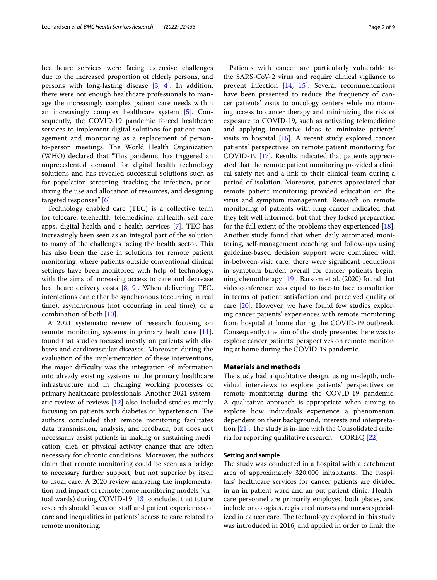healthcare services were facing extensive challenges due to the increased proportion of elderly persons, and persons with long-lasting disease [[3,](#page-7-2) [4\]](#page-7-3). In addition, there were not enough healthcare professionals to manage the increasingly complex patient care needs within an increasingly complex healthcare system [\[5](#page-7-4)]. Consequently, the COVID-19 pandemic forced healthcare services to implement digital solutions for patient management and monitoring as a replacement of personto-person meetings. The World Health Organization (WHO) declared that "This pandemic has triggered an unprecedented demand for digital health technology solutions and has revealed successful solutions such as for population screening, tracking the infection, prioritizing the use and allocation of resources, and designing targeted responses" [\[6\]](#page-7-5).

Technology enabled care (TEC) is a collective term for telecare, telehealth, telemedicine, mHealth, self-care apps, digital health and e-health services [\[7\]](#page-7-6). TEC has increasingly been seen as an integral part of the solution to many of the challenges facing the health sector. This has also been the case in solutions for remote patient monitoring, where patients outside conventional clinical settings have been monitored with help of technology, with the aims of increasing access to care and decrease healthcare delivery costs [[8](#page-7-7), [9\]](#page-8-0). When delivering TEC, interactions can either be synchronous (occurring in real time), asynchronous (not occurring in real time), or a combination of both [[10\]](#page-8-1).

A 2021 systematic review of research focusing on remote monitoring systems in primary healthcare [\[11](#page-8-2)], found that studies focused mostly on patients with diabetes and cardiovascular diseases. Moreover, during the evaluation of the implementation of these interventions, the major difculty was the integration of information into already existing systems in the primary healthcare infrastructure and in changing working processes of primary healthcare professionals. Another 2021 systematic review of reviews [\[12](#page-8-3)] also included studies mainly focusing on patients with diabetes or hypertension. The authors concluded that remote monitoring facilitates data transmission, analysis, and feedback, but does not necessarily assist patients in making or sustaining medication, diet, or physical activity change that are often necessary for chronic conditions. Moreover, the authors claim that remote monitoring could be seen as a bridge to necessary further support, but not superior by itself to usual care. A 2020 review analyzing the implementation and impact of remote home monitoring models (virtual wards) during COVID-19 [\[13\]](#page-8-4) concluded that future research should focus on staf and patient experiences of care and inequalities in patients' access to care related to remote monitoring.

Patients with cancer are particularly vulnerable to the SARS-CoV-2 virus and require clinical vigilance to prevent infection [\[14](#page-8-5), [15\]](#page-8-6). Several recommendations have been presented to reduce the frequency of cancer patients' visits to oncology centers while maintaining access to cancer therapy and minimizing the risk of exposure to COVID-19, such as activating telemedicine and applying innovative ideas to minimize patients' visits in hospital [\[16](#page-8-7)]. A recent study explored cancer patients' perspectives on remote patient monitoring for COVID-19 [[17](#page-8-8)]. Results indicated that patients appreciated that the remote patient monitoring provided a clinical safety net and a link to their clinical team during a period of isolation. Moreover, patients appreciated that remote patient monitoring provided education on the virus and symptom management. Research on remote monitoring of patients with lung cancer indicated that they felt well informed, but that they lacked preparation for the full extent of the problems they experienced [\[18](#page-8-9)]. Another study found that when daily automated monitoring, self-management coaching and follow-ups using guideline-based decision support were combined with in-between-visit care, there were signifcant reductions in symptom burden overall for cancer patients beginning chemotherapy [[19](#page-8-10)]. Barsom et al. (2020) found that videoconference was equal to face-to face consultation in terms of patient satisfaction and perceived quality of care [\[20](#page-8-11)]. However, we have found few studies exploring cancer patients' experiences with remote monitoring from hospital at home during the COVID-19 outbreak. Consequently, the aim of the study presented here was to explore cancer patients' perspectives on remote monitoring at home during the COVID-19 pandemic.

#### **Materials and methods**

The study had a qualitative design, using in-depth, individual interviews to explore patients' perspectives on remote monitoring during the COVID-19 pandemic. A qualitative approach is appropriate when aiming to explore how individuals experience a phenomenon, dependent on their background, interests and interpretation  $[21]$  $[21]$ . The study is in-line with the Consolidated criteria for reporting qualitative research – COREQ [[22\]](#page-8-13).

#### **Setting and sample**

The study was conducted in a hospital with a catchment area of approximately 320.000 inhabitants. The hospitals' healthcare services for cancer patients are divided in an in-patient ward and an out-patient clinic. Healthcare personnel are primarily employed both places, and include oncologists, registered nurses and nurses specialized in cancer care. The technology explored in this study was introduced in 2016, and applied in order to limit the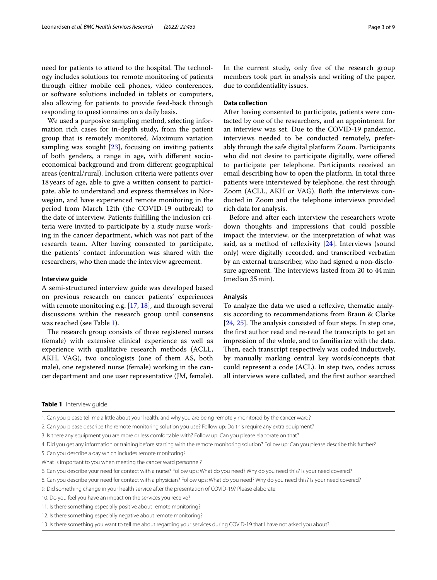need for patients to attend to the hospital. The technology includes solutions for remote monitoring of patients through either mobile cell phones, video conferences, or software solutions included in tablets or computers, also allowing for patients to provide feed-back through responding to questionnaires on a daily basis.

We used a purposive sampling method, selecting information rich cases for in-depth study, from the patient group that is remotely monitored. Maximum variation sampling was sought [\[23](#page-8-14)], focusing on inviting patients of both genders, a range in age, with diferent socioeconomical background and from diferent geographical areas (central/rural). Inclusion criteria were patients over 18years of age, able to give a written consent to participate, able to understand and express themselves in Norwegian, and have experienced remote monitoring in the period from March 12th (the COVID-19 outbreak) to the date of interview. Patients fulflling the inclusion criteria were invited to participate by a study nurse working in the cancer department, which was not part of the research team. After having consented to participate, the patients' contact information was shared with the researchers, who then made the interview agreement.

#### **Interview guide**

A semi-structured interview guide was developed based on previous research on cancer patients' experiences with remote monitoring e.g. [\[17](#page-8-8), [18\]](#page-8-9), and through several discussions within the research group until consensus was reached (see Table [1\)](#page-2-0).

The research group consists of three registered nurses (female) with extensive clinical experience as well as experience with qualitative research methods (ACLL, AKH, VAG), two oncologists (one of them AS, both male), one registered nurse (female) working in the cancer department and one user representative (JM, female). In the current study, only fve of the research group members took part in analysis and writing of the paper, due to confdentiality issues.

#### **Data collection**

After having consented to participate, patients were contacted by one of the researchers, and an appointment for an interview was set. Due to the COVID-19 pandemic, interviews needed to be conducted remotely, preferably through the safe digital platform Zoom. Participants who did not desire to participate digitally, were offered to participate per telephone. Participants received an email describing how to open the platform. In total three patients were interviewed by telephone, the rest through Zoom (ACLL, AKH or VAG). Both the interviews conducted in Zoom and the telephone interviews provided rich data for analysis.

Before and after each interview the researchers wrote down thoughts and impressions that could possible impact the interview, or the interpretation of what was said, as a method of reflexivity [[24\]](#page-8-15). Interviews (sound only) were digitally recorded, and transcribed verbatim by an external transcriber, who had signed a non-disclosure agreement. The interviews lasted from 20 to 44 min (median 35min).

#### **Analysis**

To analyze the data we used a refexive, thematic analysis according to recommendations from Braun & Clarke  $[24, 25]$  $[24, 25]$  $[24, 25]$  $[24, 25]$ . The analysis consisted of four steps. In step one, the frst author read and re-read the transcripts to get an impression of the whole, and to familiarize with the data. Then, each transcript respectively was coded inductively, by manually marking central key words/concepts that could represent a code (ACL). In step two, codes across all interviews were collated, and the frst author searched

#### <span id="page-2-0"></span>**Table 1** Interview guide

1. Can you please tell me a little about your health, and why you are being remotely monitored by the cancer ward?

- 2. Can you please describe the remote monitoring solution you use? Follow up: Do this require any extra equipment?
- 3. Is there any equipment you are more or less comfortable with? Follow up: Can you please elaborate on that?

4. Did you get any information or training before starting with the remote monitoring solution? Follow up: Can you please describe this further?

- 5. Can you describe a day which includes remote monitoring?
- What is important to you when meeting the cancer ward personnel?

6. Can you describe your need for contact with a nurse? Follow ups: What do you need? Why do you need this? Is your need covered?

- 8. Can you describe your need for contact with a physician? Follow ups: What do you need? Why do you need this? Is your need covered?
- 9. Did something change in your health service after the presentation of COVID-19? Please elaborate.
- 10. Do you feel you have an impact on the services you receive?
- 11. Is there something especially positive about remote monitoring?
- 12. Is there something especially negative about remote monitoring?
- 13. Is there something you want to tell me about regarding your services during COVID-19 that I have not asked you about?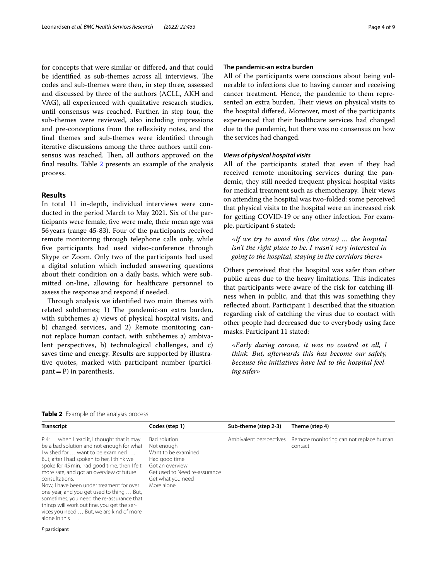for concepts that were similar or difered, and that could be identified as sub-themes across all interviews. The codes and sub-themes were then, in step three, assessed and discussed by three of the authors (ACLL, AKH and VAG), all experienced with qualitative research studies, until consensus was reached. Further, in step four, the sub-themes were reviewed, also including impressions and pre-conceptions from the refexivity notes, and the fnal themes and sub-themes were identifed through iterative discussions among the three authors until consensus was reached. Then, all authors approved on the fnal results. Table [2](#page-3-0) presents an example of the analysis process.

#### **Results**

In total 11 in-depth, individual interviews were conducted in the period March to May 2021. Six of the participants were female, fve were male, their mean age was 56years (range 45-83). Four of the participants received remote monitoring through telephone calls only, while fve participants had used video-conference through Skype or Zoom. Only two of the participants had used a digital solution which included answering questions about their condition on a daily basis, which were submitted on-line, allowing for healthcare personnel to assess the response and respond if needed.

Through analysis we identified two main themes with related subthemes; 1) The pandemic-an extra burden, with subthemes a) views of physical hospital visits, and b) changed services, and 2) Remote monitoring cannot replace human contact, with subthemes a) ambivalent perspectives, b) technological challenges, and c) saves time and energy. Results are supported by illustrative quotes, marked with participant number (partici $part = P$ ) in parenthesis.

#### **The pandemic‑an extra burden**

All of the participants were conscious about being vulnerable to infections due to having cancer and receiving cancer treatment. Hence, the pandemic to them represented an extra burden. Their views on physical visits to the hospital difered. Moreover, most of the participants experienced that their healthcare services had changed due to the pandemic, but there was no consensus on how the services had changed.

#### *Views of physical hospital visits*

All of the participants stated that even if they had received remote monitoring services during the pandemic, they still needed frequent physical hospital visits for medical treatment such as chemotherapy. Their views on attending the hospital was two-folded: some perceived that physical visits to the hospital were an increased risk for getting COVID-19 or any other infection. For example, participant 6 stated:

*«If we try to avoid this (the virus) … the hospital isn't the right place to be. I wasn't very interested in going to the hospital, staying in the corridors there»*

Others perceived that the hospital was safer than other public areas due to the heavy limitations. This indicates that participants were aware of the risk for catching illness when in public, and that this was something they refected about. Participant 1 described that the situation regarding risk of catching the virus due to contact with other people had decreased due to everybody using face masks. Participant 11 stated:

*«Early during corona, it was no control at all, I think. But, afterwards this has become our safety, because the initiatives have led to the hospital feeling safer»*

#### <span id="page-3-0"></span>**Table 2** Example of the analysis process

| <b>Transcript</b>                                                                                                                                                                                                                                                                                                                                                                                                                                                                                                                           | Codes (step 1)                                                                                                                                            | Sub-theme (step 2-3)    | Theme (step 4)                                     |
|---------------------------------------------------------------------------------------------------------------------------------------------------------------------------------------------------------------------------------------------------------------------------------------------------------------------------------------------------------------------------------------------------------------------------------------------------------------------------------------------------------------------------------------------|-----------------------------------------------------------------------------------------------------------------------------------------------------------|-------------------------|----------------------------------------------------|
| P 4:  when I read it, I thought that it may<br>be a bad solution and not enough for what<br>I wished for  want to be examined<br>But, after I had spoken to her, I think we<br>spoke for 45 min, had good time, then I felt<br>more safe, and got an overview of future<br>consultations.<br>Now, I have been under treament for over<br>one year, and you get used to thing  But,<br>sometimes, you need the re-assurance that<br>things will work out fine, you get the ser-<br>vices you need  But, we are kind of more<br>alone in this | Bad solution<br>Not enough<br>Want to be examined<br>Had good time<br>Got an overview<br>Get used to Need re-assurance<br>Get what you need<br>More alone | Ambivalent perspectives | Remote monitoring can not replace human<br>contact |
| P participant                                                                                                                                                                                                                                                                                                                                                                                                                                                                                                                               |                                                                                                                                                           |                         |                                                    |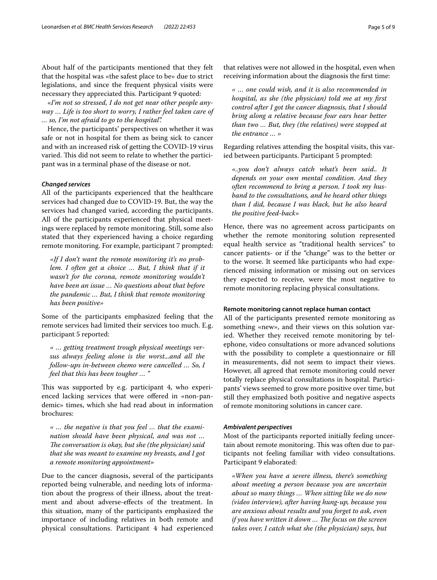About half of the participants mentioned that they felt that the hospital was «the safest place to be» due to strict legislations, and since the frequent physical visits were necessary they appreciated this. Participant 9 quoted:

«*I'm not so stressed, I do not get near other people anyway … Life is too short to worry, I rather feel taken care of … so, I'm not afraid to go to the hospital".*

Hence, the participants' perspectives on whether it was safe or not in hospital for them as being sick to cancer and with an increased risk of getting the COVID-19 virus varied. This did not seem to relate to whether the participant was in a terminal phase of the disease or not.

#### *Changed services*

All of the participants experienced that the healthcare services had changed due to COVID-19. But, the way the services had changed varied, according the participants. All of the participants experienced that physical meetings were replaced by remote monitoring. Still, some also stated that they experienced having a choice regarding remote monitoring. For example, participant 7 prompted:

*«If I don't want the remote monitoring it's no problem. I often get a choice ... But, I think that if it wasn't for the corona, remote monitoring wouldn't have been an issue … No questions about that before the pandemic … But, I think that remote monitoring has been positive»*

Some of the participants emphasized feeling that the remote services had limited their services too much. E.g. participant 5 reported:

*« … getting treatment trough physical meetings versus always feeling alone is the worst...and all the follow-ups in-between chemo were cancelled … So, I feel that this has been tougher … "*

This was supported by e.g. participant 4, who experienced lacking services that were offered in «non-pandemic» times, which she had read about in information brochures:

*« … the negative is that you feel … that the examination should have been physical, and was not … The conversation is okay, but she (the physician) said that she was meant to examine my breasts, and I got a remote monitoring appointment»*

Due to the cancer diagnosis, several of the participants reported being vulnerable, and needing lots of information about the progress of their illness, about the treatment and about adverse-efects of the treatment. In this situation, many of the participants emphasized the importance of including relatives in both remote and physical consultations. Participant 4 had experienced

that relatives were not allowed in the hospital, even when receiving information about the diagnosis the frst time:

*« … one could wish, and it is also recommended in hospital, as she (the physician) told me at my frst control after I got the cancer diagnosis, that I should bring along a relative because four ears hear better than two … But, they (the relatives) were stopped at the entrance … »*

Regarding relatives attending the hospital visits, this varied between participants. Participant 5 prompted:

*«..you don't always catch what's been said.. It depends on your own mental condition. And they often recommend to bring a person. I took my husband to the consultations, and he heard other things than I did, because I was black, but he also heard the positive feed-back»*

Hence, there was no agreement across participants on whether the remote monitoring solution represented equal health service as "traditional health services" to cancer patients- or if the "change" was to the better or to the worse. It seemed like participants who had experienced missing information or missing out on services they expected to receive, were the most negative to remote monitoring replacing physical consultations.

#### **Remote monitoring cannot replace human contact**

All of the participants presented remote monitoring as something «new», and their views on this solution varied. Whether they received remote monitoring by telephone, video consultations or more advanced solutions with the possibility to complete a questionnaire or fll in measurements, did not seem to impact their views. However, all agreed that remote monitoring could never totally replace physical consultations in hospital. Participants' views seemed to grow more positive over time, but still they emphasized both positive and negative aspects of remote monitoring solutions in cancer care.

#### *Ambivalent perspectives*

Most of the participants reported initially feeling uncertain about remote monitoring. This was often due to participants not feeling familiar with video consultations. Participant 9 elaborated:

*«When you have a severe illness, there's something about meeting a person because you are uncertain about so many things … When sitting like we do now (video interview), after having hung-up, because you are anxious about results and you forget to ask, even if you have written it down ... The focus on the screen takes over, I catch what she (the physician) says, but*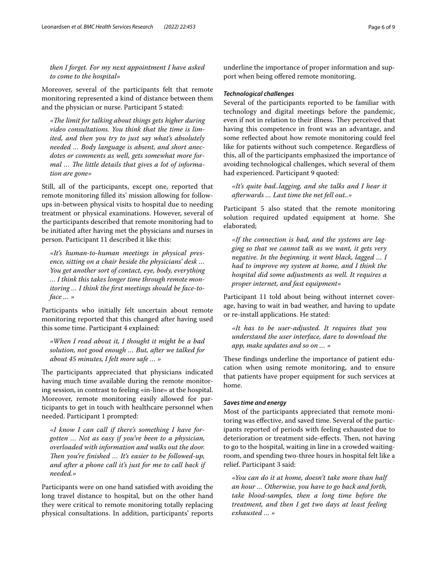*then I forget. For my next appointment I have asked to come to the hospital»*

Moreover, several of the participants felt that remote monitoring represented a kind of distance between them and the physician or nurse. Participant 5 stated:

*«Te limit for talking about things gets higher during video consultations. You think that the time is limited, and then you try to just say what's absolutely needed … Body language is absent, and short anecdotes or comments as well, gets somewhat more for*mal ... The little details that gives a lot of informa*tion are gone»*

Still, all of the participants, except one, reported that remote monitoring flled its' mission allowing for followups in-between physical visits to hospital due to needing treatment or physical examinations. However, several of the participants described that remote monitoring had to be initiated after having met the physicians and nurses in person. Participant 11 described it like this:

*«It's human-to-human meetings in physical presence, sitting on a chair beside the physicians' desk … You get another sort of contact, eye, body, everything … I think this takes longer time through remote monitoring … I think the frst meetings should be face-toface … »*

Participants who initially felt uncertain about remote monitoring reported that this changed after having used this some time. Participant 4 explained:

*«When I read about it, I thought it might be a bad solution, not good enough … But, after we talked for about 45 minutes, I felt more safe … »*

The participants appreciated that physicians indicated having much time available during the remote monitoring session, in contrast to feeling «in-line» at the hospital. Moreover, remote monitoring easily allowed for participants to get in touch with healthcare personnel when needed. Participant 1 prompted:

*«I know I can call if there's something I have forgotten … Not as easy if you've been to a physician, overloaded with information and walks out the door. Then you're finished ... It's easier to be followed-up, and after a phone call it's just for me to call back if needed.»*

Participants were on one hand satisfed with avoiding the long travel distance to hospital, but on the other hand they were critical to remote monitoring totally replacing physical consultations. In addition, participants' reports

underline the importance of proper information and support when being offered remote monitoring.

#### *Technological challenges*

Several of the participants reported to be familiar with technology and digital meetings before the pandemic, even if not in relation to their illness. They perceived that having this competence in front was an advantage, and some refected about how remote monitoring could feel like for patients without such competence. Regardless of this, all of the participants emphasized the importance of avoiding technological challenges, which several of them had experienced. Participant 9 quoted:

*«It's quite bad..lagging, and she talks and I hear it afterwards … Last time the net fell out..»*

Participant 5 also stated that the remote monitoring solution required updated equipment at home. She elaborated;

*«If the connection is bad, and the systems are lagging so that we cannot talk as we want, it gets very negative. In the beginning, it went black, lagged … I had to improve my system at home, and I think the hospital did some adjustments as well. It requires a proper internet, and fast equipment»*

Participant 11 told about being without internet coverage, having to wait in bad weather, and having to update or re-install applications. He stated:

*«It has to be user-adjusted. It requires that you understand the user interface, dare to download the app, make updates and so on … »*

These findings underline the importance of patient education when using remote monitoring, and to ensure that patients have proper equipment for such services at home.

#### *Saves time and energy*

Most of the participants appreciated that remote monitoring was efective, and saved time. Several of the participants reported of periods with feeling exhausted due to deterioration or treatment side-effects. Then, not having to go to the hospital, waiting in line in a crowded waitingroom, and spending two-three hours in hospital felt like a relief. Participant 3 said:

*«You can do it at home, doesn't take more than half an hour … Otherwise, you have to go back and forth, take blood-samples, then a long time before the treatment, and then I get two days at least feeling exhausted … »*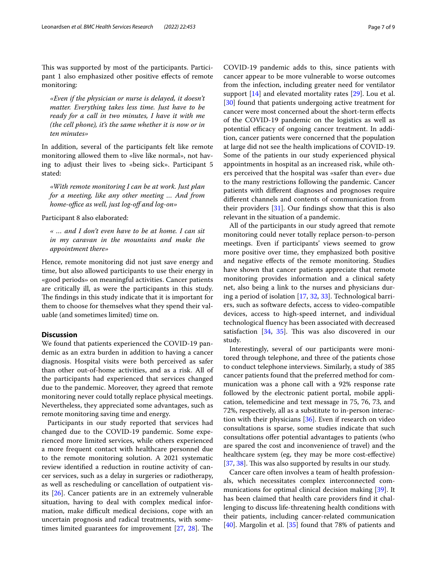This was supported by most of the participants. Participant 1 also emphasized other positive efects of remote monitoring:

*«Even if the physician or nurse is delayed, it doesn't matter. Everything takes less time. Just have to be ready for a call in two minutes, I have it with me (the cell phone), it's the same whether it is now or in ten minutes»*

In addition, several of the participants felt like remote monitoring allowed them to «live like normal», not having to adjust their lives to «being sick». Participant 5 stated:

*«With remote monitoring I can be at work. Just plan for a meeting, like any other meeting … And from home-office as well, just log-off and log-on»* 

Participant 8 also elaborated:

*« … and I don't even have to be at home. I can sit in my caravan in the mountains and make the appointment there»*

Hence, remote monitoring did not just save energy and time, but also allowed participants to use their energy in «good periods» on meaningful activities. Cancer patients are critically ill, as were the participants in this study. The findings in this study indicate that it is important for them to choose for themselves what they spend their valuable (and sometimes limited) time on.

#### **Discussion**

We found that patients experienced the COVID-19 pandemic as an extra burden in addition to having a cancer diagnosis. Hospital visits were both perceived as safer than other out-of-home activities, and as a risk. All of the participants had experienced that services changed due to the pandemic. Moreover, they agreed that remote monitoring never could totally replace physical meetings. Nevertheless, they appreciated some advantages, such as remote monitoring saving time and energy.

Participants in our study reported that services had changed due to the COVID-19 pandemic. Some experienced more limited services, while others experienced a more frequent contact with healthcare personnel due to the remote monitoring solution. A 2021 systematic review identifed a reduction in routine activity of cancer services, such as a delay in surgeries or radiotherapy, as well as rescheduling or cancellation of outpatient visits [\[26](#page-8-17)]. Cancer patients are in an extremely vulnerable situation, having to deal with complex medical information, make difficult medical decisions, cope with an uncertain prognosis and radical treatments, with sometimes limited guarantees for improvement  $[27, 28]$  $[27, 28]$  $[27, 28]$  $[27, 28]$  $[27, 28]$ . The

COVID-19 pandemic adds to this, since patients with cancer appear to be more vulnerable to worse outcomes from the infection, including greater need for ventilator support [\[14\]](#page-8-5) and elevated mortality rates [\[29\]](#page-8-20). Lou et al. [[30\]](#page-8-21) found that patients undergoing active treatment for cancer were most concerned about the short-term efects of the COVID-19 pandemic on the logistics as well as potential efficacy of ongoing cancer treatment. In addition, cancer patients were concerned that the population at large did not see the health implications of COVID-19. Some of the patients in our study experienced physical appointments in hospital as an increased risk, while others perceived that the hospital was «safer than ever» due to the many restrictions following the pandemic. Cancer patients with diferent diagnoses and prognoses require diferent channels and contents of communication from their providers [\[31](#page-8-22)]. Our fndings show that this is also relevant in the situation of a pandemic.

All of the participants in our study agreed that remote monitoring could never totally replace person-to-person meetings. Even if participants' views seemed to grow more positive over time, they emphasized both positive and negative efects of the remote monitoring. Studies have shown that cancer patients appreciate that remote monitoring provides information and a clinical safety net, also being a link to the nurses and physicians during a period of isolation [\[17,](#page-8-8) [32,](#page-8-23) [33](#page-8-24)]. Technological barriers, such as software defects, access to video-compatible devices, access to high-speed internet, and individual technological fuency has been associated with decreased satisfaction  $[34, 35]$  $[34, 35]$  $[34, 35]$  $[34, 35]$ . This was also discovered in our study.

Interestingly, several of our participants were monitored through telephone, and three of the patients chose to conduct telephone interviews. Similarly, a study of 385 cancer patients found that the preferred method for communication was a phone call with a 92% response rate followed by the electronic patient portal, mobile application, telemedicine and text message in 75, 76, 73, and 72%, respectively, all as a substitute to in-person interaction with their physicians [\[36\]](#page-8-27). Even if research on video consultations is sparse, some studies indicate that such consultations ofer potential advantages to patients (who are spared the cost and inconvenience of travel) and the healthcare system (eg, they may be more cost-efective) [[37,](#page-8-28) [38](#page-8-29)]. This was also supported by results in our study.

Cancer care often involves a team of health professionals, which necessitates complex interconnected communications for optimal clinical decision making [[39\]](#page-8-30). It has been claimed that health care providers fnd it challenging to discuss life-threatening health conditions with their patients, including cancer-related communication [[40\]](#page-8-31). Margolin et al. [[35\]](#page-8-26) found that 78% of patients and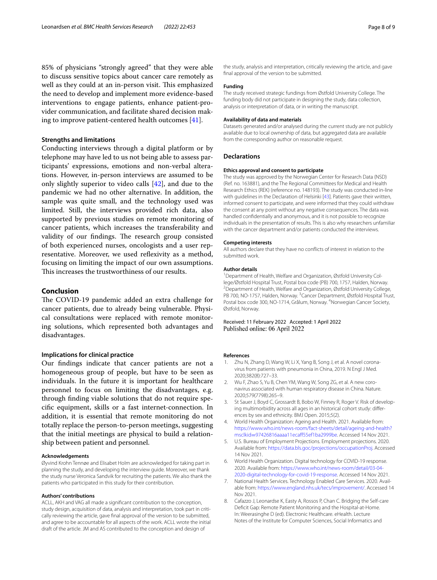85% of physicians "strongly agreed" that they were able to discuss sensitive topics about cancer care remotely as well as they could at an in-person visit. This emphasized the need to develop and implement more evidence-based interventions to engage patients, enhance patient-provider communication, and facilitate shared decision making to improve patient-centered health outcomes [\[41](#page-8-32)].

#### **Strengths and limitations**

Conducting interviews through a digital platform or by telephone may have led to us not being able to assess participants' expressions, emotions and non-verbal alterations. However, in-person interviews are assumed to be only slightly superior to video calls [\[42\]](#page-8-33), and due to the pandemic we had no other alternative. In addition, the sample was quite small, and the technology used was limited. Still, the interviews provided rich data, also supported by previous studies on remote monitoring of cancer patients, which increases the transferability and validity of our findings. The research group consisted of both experienced nurses, oncologists and a user representative. Moreover, we used refexivity as a method, focusing on limiting the impact of our own assumptions. This increases the trustworthiness of our results.

### **Conclusion**

The COVID-19 pandemic added an extra challenge for cancer patients, due to already being vulnerable. Physical consultations were replaced with remote monitoring solutions, which represented both advantages and disadvantages.

#### **Implications for clinical practice**

Our fndings indicate that cancer patients are not a homogeneous group of people, but have to be seen as individuals. In the future it is important for healthcare personnel to focus on limiting the disadvantages, e.g. through fnding viable solutions that do not require specifc equipment, skills or a fast internet-connection. In addition, it is essential that remote monitoring do not totally replace the person-to-person meetings, suggesting that the initial meetings are physical to build a relationship between patient and personnel.

#### **Acknowledgements**

Øyvind Krohn Tennøe and Elisabet Holm are acknowledged for taking part in planning the study, and developing the interview guide. Moreover, we thank the study nurse Veronica Sandvik for recruiting the patients. We also thank the patients who participated in this study for their contribution.

#### **Authors' contributions**

ACLL, AKH and VAG all made a signifcant contribution to the conception, study design, acquisition of data, analysis and interpretation, took part in critically reviewing the article, gave fnal approval of the version to be submitted, and agree to be accountable for all aspects of the work. ACLL wrote the initial draft of the article. JM and AS contributed to the conception and design of

the study, analysis and interpretation, critically reviewing the article, and gave fnal approval of the version to be submitted.

#### **Funding**

The study received strategic fundings from Østfold University College. The funding body did not participate in designing the study, data collection, analysis or interpretation of data, or in writing the manuscript.

#### **Availability of data and materials**

Datasets generated and/or analysed during the current study are not publicly available due to local ownership of data, but aggregated data are available from the corresponding author on reasonable request.

#### **Declarations**

#### **Ethics approval and consent to participate**

The study was approved by the Norwegian Center for Research Data (NSD) (Ref. no. 163881), and the The Regional Committees for Medical and Health Research Ethics (REK) (reference no. 148193). The study was conducted in-line with guidelines in the Declaration of Helsinki [[43\]](#page-8-34). Patients gave their written, informed consent to participate, and were informed that they could withdraw the consent at any point without any negative consequences. The data was handled confdentially and anonymous, and it is not possible to recognize individuals in the presentation of results. This is also why researchers unfamiliar with the cancer department and/or patients conducted the interviews.

#### **Competing interests**

All authors declare that they have no conficts of interest in relation to the submitted work.

#### **Author details**

<sup>1</sup> Department of Health, Welfare and Organization, Østfold University College/Østfold Hospital Trust, Postal box code (PB) 700, 1757, Halden, Norway. <sup>2</sup> Department of Health, Welfare and Organization, Østfold University College, PB 700, NO-1757, Halden, Norway. <sup>3</sup> Cancer Department, Østfold Hospital Trust, Postal box code 300, NO-1714, Grålum, Norway. <sup>4</sup>Norwegian Cancer Society, Østfold, Norway.

Received: 11 February 2022 Accepted: 1 April 2022 Published online: 06 April 2022

#### **References**

- <span id="page-7-0"></span>Zhu N, Zhang D, Wang W, Li X, Yang B, Song J, et al. A novel coronavirus from patients with pneumonia in China, 2019. N Engl J Med. 2020;382(8):727–33.
- <span id="page-7-1"></span>2. Wu F, Zhao S, Yu B, Chen YM, Wang W, Song ZG, et al. A new coronavirus associated with human respiratory disease in China. Nature. 2020;579(7798):265–9.
- <span id="page-7-2"></span>3. St Sauer J, Boyd C, Grossardt B, Bobo W, Finney R, Roger V. Risk of developing multimorbidity across all ages in an historical cohort study: differences by sex and ethnicity. BMJ Open. 2015;5(2).
- <span id="page-7-3"></span>4. World Health Organization: Ageing and Health. 2021. Available from: [https://www.who.int/news-room/fact-sheets/detail/ageing-and-health?](https://www.who.int/news-room/fact-sheets/detail/ageing-and-health?msclkid=97426816aaaa11ecaff55ef1ba2999be) msclkid=[97426816aaaa11ecaf55ef1ba2999be.](https://www.who.int/news-room/fact-sheets/detail/ageing-and-health?msclkid=97426816aaaa11ecaff55ef1ba2999be) Accessed 14 Nov 2021.
- <span id="page-7-4"></span>5. U.S. Bureau of Employment Projections. Employment projections. 2020. Available from: [https://data.bls.goc/projections/occupationProj.](https://data.bls.goc/projections/occupationProj) Accessed 14 Nov 2021.
- <span id="page-7-5"></span>6. World Health Organization. Digital technology for COVID-19 response. 2020. Available from: [https://www.who.int/news-room/detail/03-04-](https://www.who.int/news-room/detail/03-04-2020-digital-technology-for-covid-19-response) [2020-digital-technology-for-covid-19-response.](https://www.who.int/news-room/detail/03-04-2020-digital-technology-for-covid-19-response) Accessed 14 Nov 2021.
- <span id="page-7-6"></span>7. National Health Services. Technology Enabled Care Services. 2020. Available from:<https://www.england.nhs.uk/tecs/improvement/>. Accessed 14 Nov 2021.
- <span id="page-7-7"></span>8. Cafazzo J, Leonardse K, Easty A, Rossos P, Chan C. Bridging the Self-care Deficit Gap: Remote Patient Monitoring and the Hospital-at-Home. In: Weerasinghe D (ed). Electronic Healthcare. eHealth. Lecture Notes of the Institute for Computer Sciences, Social Informatics and